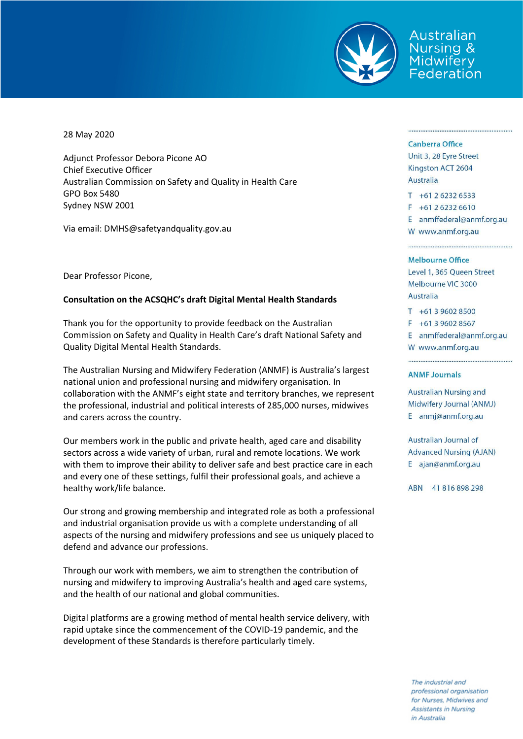

Australian Jursing & Midwifery Federation

28 May 2020

Adjunct Professor Debora Picone AO Chief Executive Officer Australian Commission on Safety and Quality in Health Care GPO Box 5480 Sydney NSW 2001

Via email: DMHS@safetyandquality.gov.au

Dear Professor Picone,

## **Consultation on the ACSQHC's draft Digital Mental Health Standards**

Thank you for the opportunity to provide feedback on the Australian Commission on Safety and Quality in Health Care's draft National Safety and Quality Digital Mental Health Standards.

The Australian Nursing and Midwifery Federation (ANMF) is Australia's largest national union and professional nursing and midwifery organisation. In collaboration with the ANMF's eight state and territory branches, we represent the professional, industrial and political interests of 285,000 nurses, midwives and carers across the country.

Our members work in the public and private health, aged care and disability sectors across a wide variety of urban, rural and remote locations. We work with them to improve their ability to deliver safe and best practice care in each and every one of these settings, fulfil their professional goals, and achieve a healthy work/life balance.

Our strong and growing membership and integrated role as both a professional and industrial organisation provide us with a complete understanding of all aspects of the nursing and midwifery professions and see us uniquely placed to defend and advance our professions.

Through our work with members, we aim to strengthen the contribution of nursing and midwifery to improving Australia's health and aged care systems, and the health of our national and global communities.

Digital platforms are a growing method of mental health service delivery, with rapid uptake since the commencement of the COVID-19 pandemic, and the development of these Standards is therefore particularly timely.

#### **Canberra Office**

Unit 3, 28 Eyre Street Kingston ACT 2604 Australia

 $T + 61262326533$  $F + 61262326610$ E anmffederal@anmf.org.au

W www.anmf.org.au

#### **Melbourne Office**

Level 1, 365 Queen Street Melbourne VIC 3000 Australia

 $T + 61396028500$  $F + 61396028567$ E anmffederal@anmf.org.au

W www.anmf.org.au

#### **ANMF Journals**

Australian Nursing and Midwifery Journal (ANMJ) E anmj@anmf.org.au

**Australian Journal of Advanced Nursing (AJAN)** E ajan@anmf.org.au

ABN 41816898298

The industrial and professional organisation for Nurses, Midwives and **Assistants in Nursing** in Australia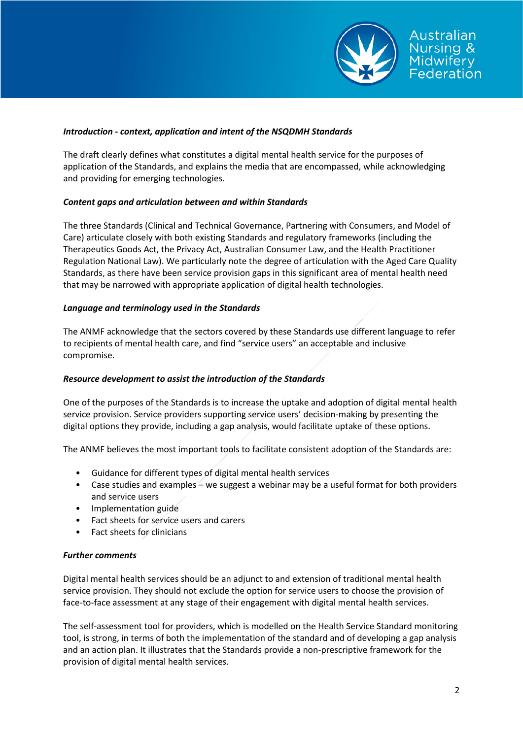

# *Introduction - context, application and intent of the NSQDMH Standards*

The draft clearly defines what constitutes a digital mental health service for the purposes of application of the Standards, and explains the media that are encompassed, while acknowledging and providing for emerging technologies.

# *Content gaps and articulation between and within Standards*

The three Standards (Clinical and Technical Governance, Partnering with Consumers, and Model of Care) articulate closely with both existing Standards and regulatory frameworks (including the Therapeutics Goods Act, the Privacy Act, Australian Consumer Law, and the Health Practitioner Regulation National Law). We particularly note the degree of articulation with the Aged Care Quality Standards, as there have been service provision gaps in this significant area of mental health need that may be narrowed with appropriate application of digital health technologies.

# *Language and terminology used in the Standards*

The ANMF acknowledge that the sectors covered by these Standards use different language to refer to recipients of mental health care, and find "service users" an acceptable and inclusive compromise.

## *Resource development to assist the introduction of the Standards*

One of the purposes of the Standards is to increase the uptake and adoption of digital mental health service provision. Service providers supporting service users' decision-making by presenting the digital options they provide, including a gap analysis, would facilitate uptake of these options.

The ANMF believes the most important tools to facilitate consistent adoption of the Standards are:

- Guidance for different types of digital mental health services
- Case studies and examples we suggest a webinar may be a useful format for both providers and service users
- Implementation guide
- Fact sheets for service users and carers
- Fact sheets for clinicians

## *Further comments*

Digital mental health services should be an adjunct to and extension of traditional mental health service provision. They should not exclude the option for service users to choose the provision of face-to-face assessment at any stage of their engagement with digital mental health services.

The self-assessment tool for providers, which is modelled on the Health Service Standard monitoring tool, is strong, in terms of both the implementation of the standard and of developing a gap analysis and an action plan. It illustrates that the Standards provide a non-prescriptive framework for the provision of digital mental health services.